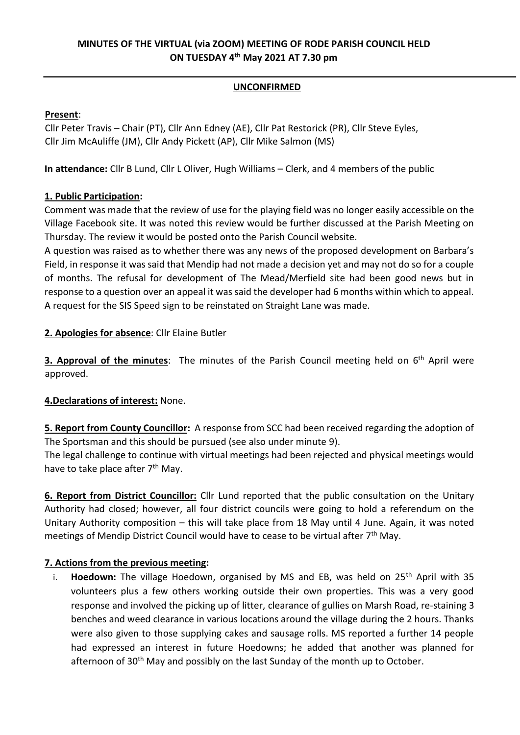# **MINUTES OF THE VIRTUAL (via ZOOM) MEETING OF RODE PARISH COUNCIL HELD ON TUESDAY 4 th May 2021 AT 7.30 pm**

### **UNCONFIRMED**

## **Present**:

Cllr Peter Travis – Chair (PT), Cllr Ann Edney (AE), Cllr Pat Restorick (PR), Cllr Steve Eyles, Cllr Jim McAuliffe (JM), Cllr Andy Pickett (AP), Cllr Mike Salmon (MS)

**In attendance:** Cllr B Lund, Cllr L Oliver, Hugh Williams – Clerk, and 4 members of the public

## **1. Public Participation:**

Comment was made that the review of use for the playing field was no longer easily accessible on the Village Facebook site. It was noted this review would be further discussed at the Parish Meeting on Thursday. The review it would be posted onto the Parish Council website.

A question was raised as to whether there was any news of the proposed development on Barbara's Field, in response it was said that Mendip had not made a decision yet and may not do so for a couple of months. The refusal for development of The Mead/Merfield site had been good news but in response to a question over an appeal it was said the developer had 6 months within which to appeal. A request for the SIS Speed sign to be reinstated on Straight Lane was made.

## **2. Apologies for absence**: Cllr Elaine Butler

**3. Approval of the minutes**: The minutes of the Parish Council meeting held on 6<sup>th</sup> April were approved.

# **4.Declarations of interest:** None.

**5. Report from County Councillor:** A response from SCC had been received regarding the adoption of The Sportsman and this should be pursued (see also under minute 9).

The legal challenge to continue with virtual meetings had been rejected and physical meetings would have to take place after 7<sup>th</sup> May.

**6. Report from District Councillor:** Cllr Lund reported that the public consultation on the Unitary Authority had closed; however, all four district councils were going to hold a referendum on the Unitary Authority composition – this will take place from 18 May until 4 June. Again, it was noted meetings of Mendip District Council would have to cease to be virtual after 7<sup>th</sup> May.

# **7. Actions from the previous meeting:**

i. **Hoedown:** The village Hoedown, organised by MS and EB, was held on 25<sup>th</sup> April with 35 volunteers plus a few others working outside their own properties. This was a very good response and involved the picking up of litter, clearance of gullies on Marsh Road, re-staining 3 benches and weed clearance in various locations around the village during the 2 hours. Thanks were also given to those supplying cakes and sausage rolls. MS reported a further 14 people had expressed an interest in future Hoedowns; he added that another was planned for afternoon of 30<sup>th</sup> May and possibly on the last Sunday of the month up to October.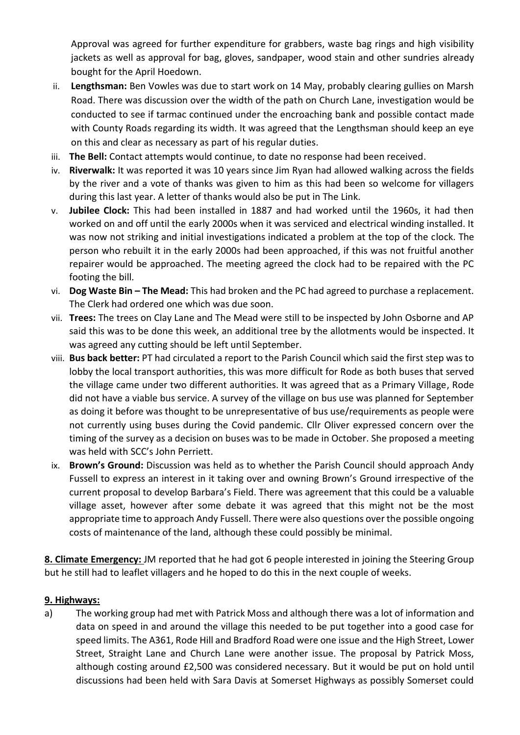Approval was agreed for further expenditure for grabbers, waste bag rings and high visibility jackets as well as approval for bag, gloves, sandpaper, wood stain and other sundries already bought for the April Hoedown.

- ii. **Lengthsman:** Ben Vowles was due to start work on 14 May, probably clearing gullies on Marsh Road. There was discussion over the width of the path on Church Lane, investigation would be conducted to see if tarmac continued under the encroaching bank and possible contact made with County Roads regarding its width. It was agreed that the Lengthsman should keep an eye on this and clear as necessary as part of his regular duties.
- iii. **The Bell:** Contact attempts would continue, to date no response had been received.
- iv. **Riverwalk:** It was reported it was 10 years since Jim Ryan had allowed walking across the fields by the river and a vote of thanks was given to him as this had been so welcome for villagers during this last year. A letter of thanks would also be put in The Link.
- v. **Jubilee Clock:** This had been installed in 1887 and had worked until the 1960s, it had then worked on and off until the early 2000s when it was serviced and electrical winding installed. It was now not striking and initial investigations indicated a problem at the top of the clock. The person who rebuilt it in the early 2000s had been approached, if this was not fruitful another repairer would be approached. The meeting agreed the clock had to be repaired with the PC footing the bill.
- vi. **Dog Waste Bin – The Mead:** This had broken and the PC had agreed to purchase a replacement. The Clerk had ordered one which was due soon.
- vii. **Trees:** The trees on Clay Lane and The Mead were still to be inspected by John Osborne and AP said this was to be done this week, an additional tree by the allotments would be inspected. It was agreed any cutting should be left until September.
- viii. **Bus back better:** PT had circulated a report to the Parish Council which said the first step was to lobby the local transport authorities, this was more difficult for Rode as both buses that served the village came under two different authorities. It was agreed that as a Primary Village, Rode did not have a viable bus service. A survey of the village on bus use was planned for September as doing it before was thought to be unrepresentative of bus use/requirements as people were not currently using buses during the Covid pandemic. Cllr Oliver expressed concern over the timing of the survey as a decision on buses was to be made in October. She proposed a meeting was held with SCC's John Perriett.
- ix. **Brown's Ground:** Discussion was held as to whether the Parish Council should approach Andy Fussell to express an interest in it taking over and owning Brown's Ground irrespective of the current proposal to develop Barbara's Field. There was agreement that this could be a valuable village asset, however after some debate it was agreed that this might not be the most appropriate time to approach Andy Fussell. There were also questions over the possible ongoing costs of maintenance of the land, although these could possibly be minimal.

**8. Climate Emergency:** JM reported that he had got 6 people interested in joining the Steering Group but he still had to leaflet villagers and he hoped to do this in the next couple of weeks.

### **9. Highways:**

a) The working group had met with Patrick Moss and although there was a lot of information and data on speed in and around the village this needed to be put together into a good case for speed limits. The A361, Rode Hill and Bradford Road were one issue and the High Street, Lower Street, Straight Lane and Church Lane were another issue. The proposal by Patrick Moss, although costing around £2,500 was considered necessary. But it would be put on hold until discussions had been held with Sara Davis at Somerset Highways as possibly Somerset could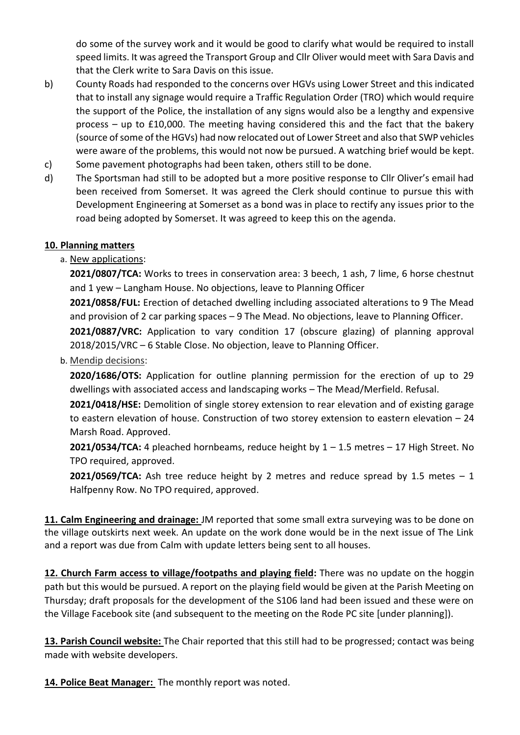do some of the survey work and it would be good to clarify what would be required to install speed limits. It was agreed the Transport Group and Cllr Oliver would meet with Sara Davis and that the Clerk write to Sara Davis on this issue.

- b) County Roads had responded to the concerns over HGVs using Lower Street and this indicated that to install any signage would require a Traffic Regulation Order (TRO) which would require the support of the Police, the installation of any signs would also be a lengthy and expensive process – up to £10,000. The meeting having considered this and the fact that the bakery (source of some of the HGVs) had now relocated out of Lower Street and also that SWP vehicles were aware of the problems, this would not now be pursued. A watching brief would be kept.
- c) Some pavement photographs had been taken, others still to be done.
- d) The Sportsman had still to be adopted but a more positive response to Cllr Oliver's email had been received from Somerset. It was agreed the Clerk should continue to pursue this with Development Engineering at Somerset as a bond was in place to rectify any issues prior to the road being adopted by Somerset. It was agreed to keep this on the agenda.

### **10. Planning matters**

### a. New applications:

**2021/0807/TCA:** Works to trees in conservation area: 3 beech, 1 ash, 7 lime, 6 horse chestnut and 1 yew – Langham House. No objections, leave to Planning Officer

**2021/0858/FUL:** Erection of detached dwelling including associated alterations to 9 The Mead and provision of 2 car parking spaces – 9 The Mead. No objections, leave to Planning Officer.

2021/0887/VRC: Application to vary condition 17 (obscure glazing) of planning approval 2018/2015/VRC – 6 Stable Close. No objection, leave to Planning Officer.

#### b. Mendip decisions:

**2020/1686/OTS:** Application for outline planning permission for the erection of up to 29 dwellings with associated access and landscaping works – The Mead/Merfield. Refusal.

**2021/0418/HSE:** Demolition of single storey extension to rear elevation and of existing garage to eastern elevation of house. Construction of two storey extension to eastern elevation – 24 Marsh Road. Approved.

**2021/0534/TCA:** 4 pleached hornbeams, reduce height by 1 – 1.5 metres – 17 High Street. No TPO required, approved.

**2021/0569/TCA:** Ash tree reduce height by 2 metres and reduce spread by 1.5 metes  $-1$ Halfpenny Row. No TPO required, approved.

**11. Calm Engineering and drainage:** JM reported that some small extra surveying was to be done on the village outskirts next week. An update on the work done would be in the next issue of The Link and a report was due from Calm with update letters being sent to all houses.

**12. Church Farm access to village/footpaths and playing field:** There was no update on the hoggin path but this would be pursued. A report on the playing field would be given at the Parish Meeting on Thursday; draft proposals for the development of the S106 land had been issued and these were on the Village Facebook site (and subsequent to the meeting on the Rode PC site [under planning]).

**13. Parish Council website:** The Chair reported that this still had to be progressed; contact was being made with website developers.

**14. Police Beat Manager:** The monthly report was noted.